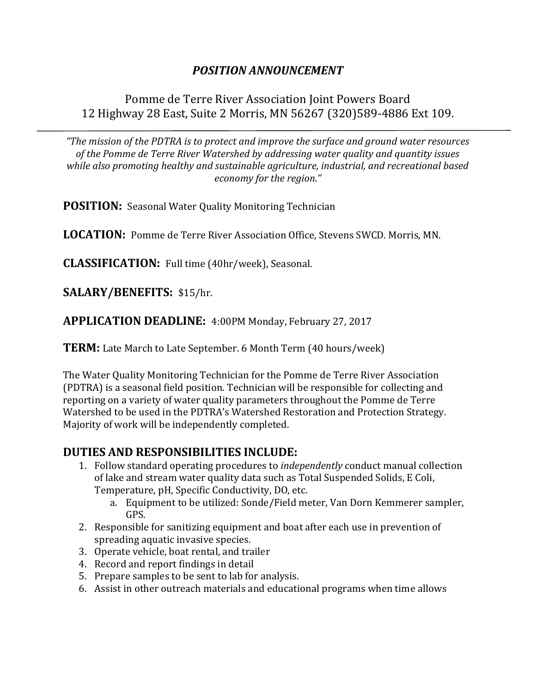# *POSITION ANNOUNCEMENT*

### Pomme de Terre River Association Joint Powers Board 12 Highway 28 East, Suite 2 Morris, MN 56267 (320)589-4886 Ext 109.

*"The mission of the PDTRA is to protect and improve the surface and ground water resources of the Pomme de Terre River Watershed by addressing water quality and quantity issues while also promoting healthy and sustainable agriculture, industrial, and recreational based economy for the region."*

**POSITION:** Seasonal Water Quality Monitoring Technician

**LOCATION:** Pomme de Terre River Association Office, Stevens SWCD. Morris, MN.

**CLASSIFICATION:** Full time (40hr/week), Seasonal.

**SALARY/BENEFITS:** \$15/hr.

**APPLICATION DEADLINE:** 4:00PM Monday, February 27, 2017

**TERM:** Late March to Late September. 6 Month Term (40 hours/week)

The Water Quality Monitoring Technician for the Pomme de Terre River Association (PDTRA) is a seasonal field position. Technician will be responsible for collecting and reporting on a variety of water quality parameters throughout the Pomme de Terre Watershed to be used in the PDTRA's Watershed Restoration and Protection Strategy. Majority of work will be independently completed.

#### **DUTIES AND RESPONSIBILITIES INCLUDE:**

- 1. Follow standard operating procedures to *independently* conduct manual collection of lake and stream water quality data such as Total Suspended Solids, E Coli, Temperature, pH, Specific Conductivity, DO, etc.
	- a. Equipment to be utilized: Sonde/Field meter, Van Dorn Kemmerer sampler, GPS.
- 2. Responsible for sanitizing equipment and boat after each use in prevention of spreading aquatic invasive species.
- 3. Operate vehicle, boat rental, and trailer
- 4. Record and report findings in detail
- 5. Prepare samples to be sent to lab for analysis.
- 6. Assist in other outreach materials and educational programs when time allows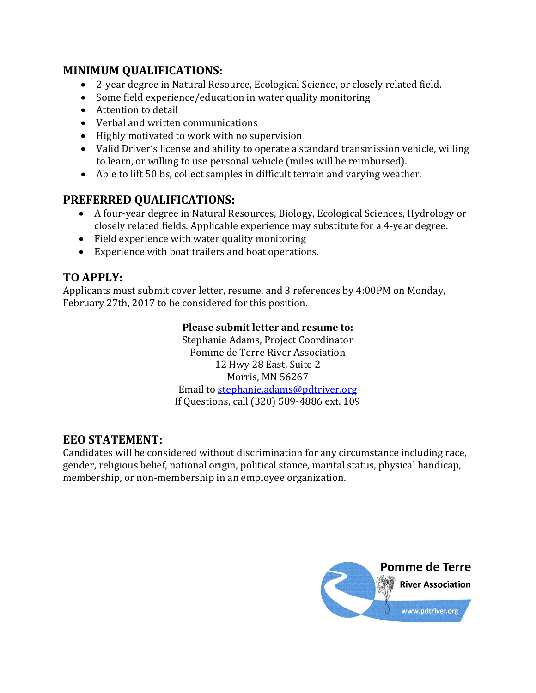#### **MINIMUM QUALIFICATIONS:**

- 2-year degree in Natural Resource, Ecological Science, or closely related field.
- Some field experience/education in water quality monitoring
- Attention to detail
- Verbal and written communications
- Highly motivated to work with no supervision
- Valid Driver's license and ability to operate a standard transmission vehicle, willing to learn, or willing to use personal vehicle (miles will be reimbursed).
- Able to lift 50lbs, collect samples in difficult terrain and varying weather.

## **PREFERRED QUALIFICATIONS:**

- A four-year degree in Natural Resources, Biology, Ecological Sciences, Hydrology or closely related fields. Applicable experience may substitute for a 4-year degree.
- Field experience with water quality monitoring
- Experience with boat trailers and boat operations.

# **TO APPLY:**

Applicants must submit cover letter, resume, and 3 references by 4:00PM on Monday, February 27th, 2017 to be considered for this position.

#### **Please submit letter and resume to:**

Stephanie Adams, Project Coordinator Pomme de Terre River Association 12 Hwy 28 East, Suite 2 Morris, MN 56267 Email to [stephanie.adams@pdtriver.org](mailto:stephanie.adams@pdtriver.org) If Questions, call (320) 589-4886 ext. 109

# **EEO STATEMENT:**

Candidates will be considered without discrimination for any circumstance including race, gender, religious belief, national origin, political stance, marital status, physical handicap, membership, or non-membership in an employee organization.